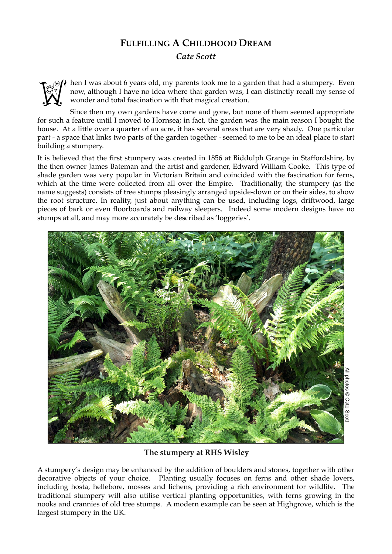## **FULFILLING A CHILDHOOD DREAM** *Cate Scott*



hen I was about 6 years old, my parents took me to a garden that had a stumpery. Even now, although I have no idea where that garden was, I can distinctly recall my sense of wonder and total fascination with that magical creation.

Since then my own gardens have come and gone, but none of them seemed appropriate for such a feature until I moved to Hornsea; in fact, the garden was the main reason I bought the house. At a little over a quarter of an acre, it has several areas that are very shady. One particular part - a space that links two parts of the garden together - seemed to me to be an ideal place to start building a stumpery.

It is believed that the first stumpery was created in 1856 at Biddulph Grange in Staffordshire, by the then owner James Bateman and the artist and gardener, Edward William Cooke. This type of shade garden was very popular in Victorian Britain and coincided with the fascination for ferns, which at the time were collected from all over the Empire. Traditionally, the stumpery (as the name suggests) consists of tree stumps pleasingly arranged upside-down or on their sides, to show the root structure. In reality, just about anything can be used, including logs, driftwood, large pieces of bark or even floorboards and railway sleepers. Indeed some modern designs have no stumps at all, and may more accurately be described as 'loggeries'.



**The stumpery at RHS Wisley**

A stumpery's design may be enhanced by the addition of boulders and stones, together with other decorative objects of your choice. Planting usually focuses on ferns and other shade lovers, including hosta, hellebore, mosses and lichens, providing a rich environment for wildlife. The traditional stumpery will also utilise vertical planting opportunities, with ferns growing in the nooks and crannies of old tree stumps. A modern example can be seen at Highgrove, which is the largest stumpery in the UK.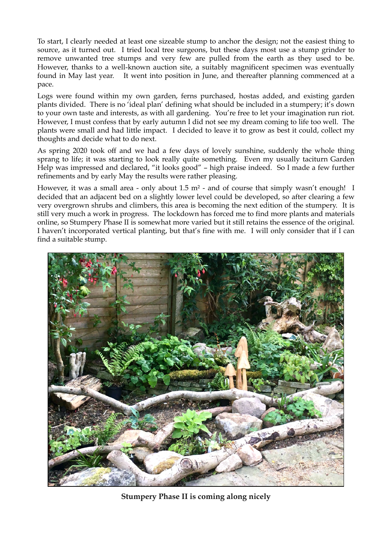To start, I clearly needed at least one sizeable stump to anchor the design; not the easiest thing to source, as it turned out. I tried local tree surgeons, but these days most use a stump grinder to remove unwanted tree stumps and very few are pulled from the earth as they used to be. However, thanks to a well-known auction site, a suitably magnificent specimen was eventually found in May last year. It went into position in June, and thereafter planning commenced at a pace.

Logs were found within my own garden, ferns purchased, hostas added, and existing garden plants divided. There is no 'ideal plan' defining what should be included in a stumpery; it's down to your own taste and interests, as with all gardening. You're free to let your imagination run riot. However, I must confess that by early autumn I did not see my dream coming to life too well. The plants were small and had little impact. I decided to leave it to grow as best it could, collect my thoughts and decide what to do next.

As spring 2020 took off and we had a few days of lovely sunshine, suddenly the whole thing sprang to life; it was starting to look really quite something. Even my usually taciturn Garden Help was impressed and declared, "it looks good" – high praise indeed. So I made a few further refinements and by early May the results were rather pleasing.

However, it was a small area - only about 1.5 m<sup>2</sup> - and of course that simply wasn't enough! I decided that an adjacent bed on a slightly lower level could be developed, so after clearing a few very overgrown shrubs and climbers, this area is becoming the next edition of the stumpery. It is still very much a work in progress. The lockdown has forced me to find more plants and materials online, so Stumpery Phase II is somewhat more varied but it still retains the essence of the original. I haven't incorporated vertical planting, but that's fine with me. I will only consider that if I can find a suitable stump.



**Stumpery Phase II is coming along nicely**